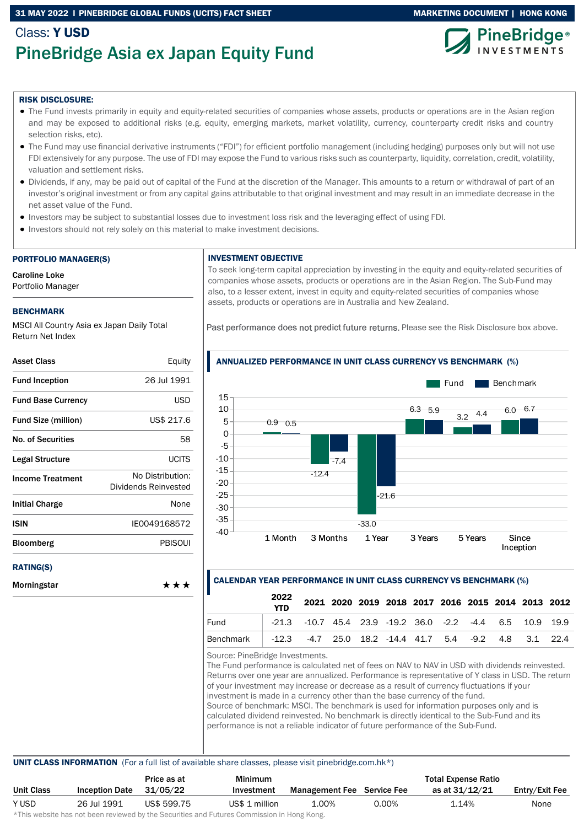### 31 MAY 2022 I PINEBRIDGE GLOBAL FUNDS (UCITS) FACT SHEET MARKETING MARKETING DOCUMENT | HONG KONG

# Class: Y USD PineBridge Asia ex Japan Equity Fund





#### RISK DISCLOSURE:

- The Fund invests primarily in equity and equity-related securities of companies whose assets, products or operations are in the Asian region and may be exposed to additional risks (e.g. equity, emerging markets, market volatility, currency, counterparty credit risks and country selection risks, etc).
- The Fund may use financial derivative instruments ("FDI") for efficient portfolio management (including hedging) purposes only but will not use FDI extensively for any purpose. The use of FDI may expose the Fund to various risks such as counterparty, liquidity, correlation, credit, volatility, valuation and settlement risks.
- Dividends, if any, may be paid out of capital of the Fund at the discretion of the Manager. This amounts to a return or withdrawal of part of an investor's original investment or from any capital gains attributable to that original investment and may result in an immediate decrease in the net asset value of the Fund.
- Investors may be subject to substantial losses due to investment loss risk and the leveraging effect of using FDI.
- Investors should not rely solely on this material to make investment decisions.

#### PORTFOLIO MANAGER(S)

Caroline Loke Portfolio Manager

#### BENCHMARK

MSCI All Country Asia ex Japan Daily Total Return Net Index

| <b>Asset Class</b>         | Equity                                   |
|----------------------------|------------------------------------------|
| <b>Fund Inception</b>      | 26 Jul 1991                              |
| <b>Fund Base Currency</b>  | <b>USD</b>                               |
| <b>Fund Size (million)</b> | US\$ 217.6                               |
| No. of Securities          | 58                                       |
| Legal Structure            | <b>UCITS</b>                             |
| <b>Income Treatment</b>    | No Distribution:<br>Dividends Reinvested |
| <b>Initial Charge</b>      | None                                     |
| ISIN                       | IE0049168572                             |
| <b>Bloomberg</b>           | PBISOUI                                  |
| <b>RATING(S)</b>           |                                          |
| Morningstar                | ***                                      |

#### INVESTMENT OBJECTIVE

To seek long-term capital appreciation by investing in the equity and equity-related securities of companies whose assets, products or operations are in the Asian Region. The Sub-Fund may also, to a lesser extent, invest in equity and equity-related securities of companies whose assets, products or operations are in Australia and New Zealand.

Past performance does not predict future returns. Please see the Risk Disclosure box above.



#### ANNUALIZED PERFORMANCE IN UNIT CLASS CURRENCY VS BENCHMARK (%)

### CALENDAR YEAR PERFORMANCE IN UNIT CLASS CURRENCY VS BENCHMARK (%)

|           | 2022<br><b>YTD</b> |                                                                    | 2021 2020 2019 2018 2017 2016 2015 2014 2013 2012 |  |  |  |  |
|-----------|--------------------|--------------------------------------------------------------------|---------------------------------------------------|--|--|--|--|
| Fund      |                    | $-21.3$ $-10.7$ 45.4 23.9 $-19.2$ 36.0 $-2.2$ $-4.4$ 6.5 10.9 19.9 |                                                   |  |  |  |  |
| Benchmark |                    | $-12.3$ $-4.7$ 25.0 18.2 $-14.4$ 41.7 5.4 $-9.2$ 4.8 3.1 22.4      |                                                   |  |  |  |  |
|           |                    |                                                                    |                                                   |  |  |  |  |

Source: PineBridge Investments.

The Fund performance is calculated net of fees on NAV to NAV in USD with dividends reinvested. Returns over one year are annualized. Performance is representative of Y class in USD. The return of your investment may increase or decrease as a result of currency fluctuations if your investment is made in a currency other than the base currency of the fund. Source of benchmark: MSCI. The benchmark is used for information purposes only and is calculated dividend reinvested. No benchmark is directly identical to the Sub-Fund and its performance is not a reliable indicator of future performance of the Sub-Fund.

#### UNIT CLASS INFORMATION (For a full list of available share classes, please visit pinebridge.com.hk\*)

|                   |                       | Price as at | Minimum        | <b>Total Expense Ratio</b>        |          |                |                |
|-------------------|-----------------------|-------------|----------------|-----------------------------------|----------|----------------|----------------|
| <b>Unit Class</b> | <b>Inception Date</b> | 31/05/22    | Investment     | <b>Management Fee</b> Service Fee |          | as at 31/12/21 | Entry/Exit Fee |
| Y USD             | 26 Jul 1991           | US\$ 599.75 | US\$ 1 million | 1.00%                             | $0.00\%$ | 1.14%          | None           |
|                   |                       |             |                |                                   |          |                |                |

\*This website has not been reviewed by the Securities and Futures Commission in Hong Kong.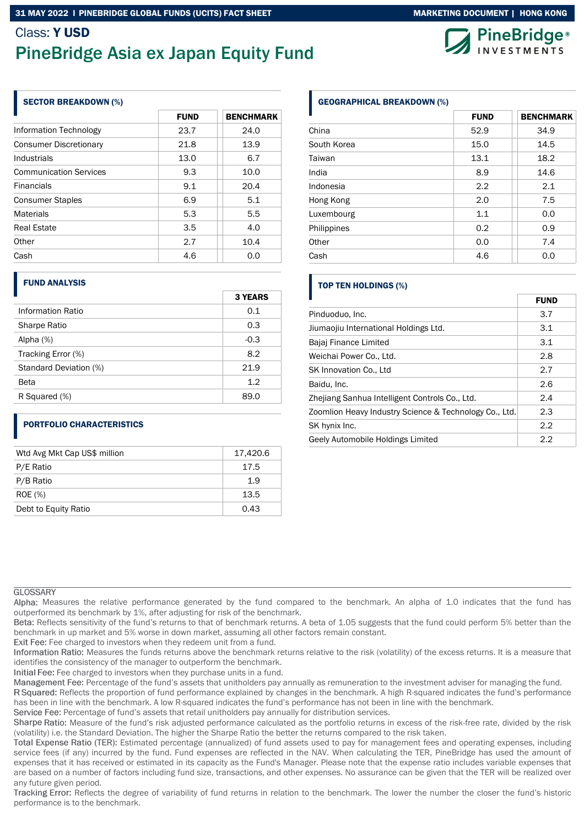# Class: Y USD PineBridge Asia ex Japan Equity Fund

## SECTOR BREAKDOWN (%)

|                               | <b>FUND</b> | <b>BENCHMARK</b> |
|-------------------------------|-------------|------------------|
| Information Technology        | 23.7        | 24.0             |
| <b>Consumer Discretionary</b> | 21.8        | 13.9             |
| Industrials                   | 13.0        | 6.7              |
| <b>Communication Services</b> | 9.3         | 10.0             |
| <b>Financials</b>             | 9.1         | 20.4             |
| <b>Consumer Staples</b>       | 6.9         | 5.1              |
| <b>Materials</b>              | 5.3         | 5.5              |
| Real Estate                   | 3.5         | 4.0              |
| Other                         | 2.7         | 10.4             |
| Cash                          | 4.6         | 0.0              |

### FUND ANALYSIS

|                        | <b>3 YEARS</b> |
|------------------------|----------------|
| Information Ratio      | 0.1            |
| Sharpe Ratio           | 0.3            |
| Alpha (%)              | $-0.3$         |
| Tracking Error (%)     | 8.2            |
| Standard Deviation (%) | 21.9           |
| Beta                   | 1.2            |
| R Squared (%)          | 89.0           |

# PORTFOLIO CHARACTERISTICS

| Wtd Avg Mkt Cap US\$ million | 17,420.6 |
|------------------------------|----------|
| P/E Ratio                    | 17.5     |
| P/B Ratio                    | 1.9      |
| ROE (%)                      | 13.5     |
| Debt to Equity Ratio         | 0.43     |

# GEOGRAPHICAL BREAKDOWN (%)

|             | <b>FUND</b> | <b>BENCHMARK</b> |
|-------------|-------------|------------------|
| China       | 52.9        | 34.9             |
| South Korea | 15.0        | 14.5             |
| Taiwan      | 13.1        | 18.2             |
| India       | 8.9         | 14.6             |
| Indonesia   | 2.2         | 2.1              |
| Hong Kong   | 2.0         | 7.5              |
| Luxembourg  | 1.1         | 0.0              |
| Philippines | 0.2         | 0.9              |
| Other       | 0.0         | 7.4              |
| Cash        | 4.6         | 0.0              |

# TOP TEN HOLDINGS (%)

|                                                        | <b>FUND</b> |
|--------------------------------------------------------|-------------|
| Pinduoduo, Inc.                                        | 3.7         |
| Jiumaojiu International Holdings Ltd.                  | 3.1         |
| Bajaj Finance Limited                                  | 3.1         |
| Weichai Power Co., Ltd.                                | 2.8         |
| SK Innovation Co., Ltd                                 | 2.7         |
| Baidu, Inc.                                            | 2.6         |
| Zhejiang Sanhua Intelligent Controls Co., Ltd.         | 2.4         |
| Zoomlion Heavy Industry Science & Technology Co., Ltd. | 2.3         |
| SK hynix Inc.                                          | 2.2         |
| Geely Automobile Holdings Limited                      | 2.2         |

## **GLOSSARY**

Alpha: Measures the relative performance generated by the fund compared to the benchmark. An alpha of 1.0 indicates that the fund has outperformed its benchmark by 1%, after adjusting for risk of the benchmark.

Beta: Reflects sensitivity of the fund's returns to that of benchmark returns. A beta of 1.05 suggests that the fund could perform 5% better than the benchmark in up market and 5% worse in down market, assuming all other factors remain constant.

Exit Fee: Fee charged to investors when they redeem unit from a fund.

Information Ratio: Measures the funds returns above the benchmark returns relative to the risk (volatility) of the excess returns. It is a measure that identifies the consistency of the manager to outperform the benchmark.

Initial Fee: Fee charged to investors when they purchase units in a fund.

Management Fee: Percentage of the fund's assets that unitholders pay annually as remuneration to the investment adviser for managing the fund.

R Squared: Reflects the proportion of fund performance explained by changes in the benchmark. A high R-squared indicates the fund's performance has been in line with the benchmark. A low R-squared indicates the fund's performance has not been in line with the benchmark.

Service Fee: Percentage of fund's assets that retail unitholders pay annually for distribution services.

Sharpe Ratio: Measure of the fund's risk adjusted performance calculated as the portfolio returns in excess of the risk-free rate, divided by the risk (volatility) i.e. the Standard Deviation. The higher the Sharpe Ratio the better the returns compared to the risk taken.

Total Expense Ratio (TER): Estimated percentage (annualized) of fund assets used to pay for management fees and operating expenses, including service fees (if any) incurred by the fund. Fund expenses are reflected in the NAV. When calculating the TER, PineBridge has used the amount of expenses that it has received or estimated in its capacity as the Fund's Manager. Please note that the expense ratio includes variable expenses that are based on a number of factors including fund size, transactions, and other expenses. No assurance can be given that the TER will be realized over any future given period.

Tracking Error: Reflects the degree of variability of fund returns in relation to the benchmark. The lower the number the closer the fund's historic performance is to the benchmark.